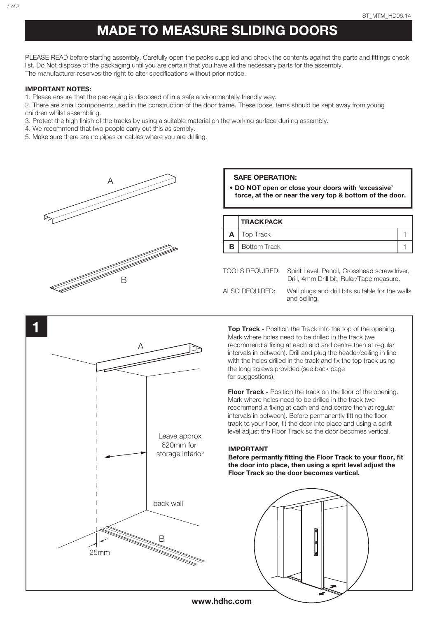# MADE TO MEASURE SLIDING DOORS

PLEASE READ before starting assembly. Carefully open the packs supplied and check the contents against the parts and fittings check list. Do Not dispose of the packaging until you are certain that you have all the necessary parts for the assembly. The manufacturer reserves the right to alter specifications without prior notice.

### IMPORTANT NOTES:

1. Please ensure that the packaging is disposed of in a safe environmentally friendly way.

- 2. There are small components used in the construction of the door frame. These loose items should be kept away from young children whilst assembling.
- 3. Protect the high finish of the tracks by using a suitable material on the working surface duri ng assembly.
- 4. We recommend that two people carry out this as sembly.
- 5. Make sure there are no pipes or cables where you are drilling.



### SAFE OPERATION:

• DO NOT open or close your doors with 'excessive' force, at the or near the very top & bottom of the door.

| <b>TRACK PACK</b>                                            |  |  |
|--------------------------------------------------------------|--|--|
| <b>Top Track</b>                                             |  |  |
| <b>Bottom Track</b>                                          |  |  |
|                                                              |  |  |
| TOOLS REQUIRED: Spirit Level, Pencil, Crosshead screwdriver, |  |  |

Drill, 4mm Drill bit, Ruler/Tape measure. ALSO REQUIRED: Wall plugs and drill bits suitable for the walls and ceiling.



**Top Track - Position the Track into the top of the opening.** Mark where holes need to be drilled in the track (we recommend a fixing at each end and centre then at regular intervals in between). Drill and plug the header/ceiling in line with the holes drilled in the track and fix the top track using the long screws provided (see back page for suggestions).

**Floor Track - Position the track on the floor of the opening.** Mark where holes need to be drilled in the track (we recommend a fixing at each end and centre then at regular intervals in between). Before permanently fitting the floor track to your floor, fit the door into place and using a spirit level adjust the Floor Track so the door becomes vertical.

#### IMPORTANT

Before permantly fitting the Floor Track to your floor, fit the door into place, then using a sprit level adjust the Floor Track so the door becomes vertical.